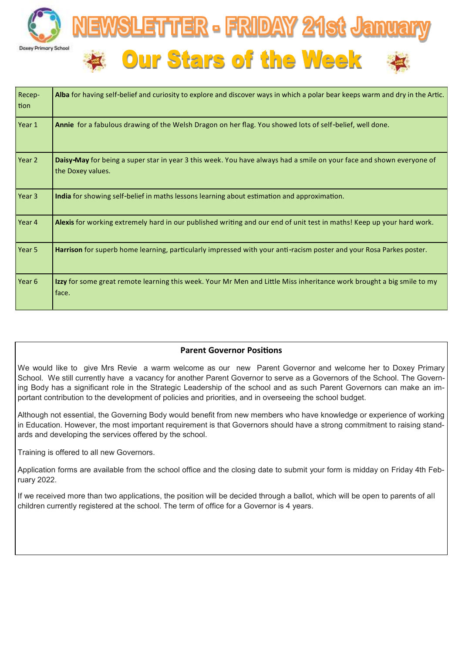

| Recep-<br>tion | Alba for having self-belief and curiosity to explore and discover ways in which a polar bear keeps warm and dry in the Artic.             |
|----------------|-------------------------------------------------------------------------------------------------------------------------------------------|
| Year 1         | Annie for a fabulous drawing of the Welsh Dragon on her flag. You showed lots of self-belief, well done.                                  |
| Year 2         | Daisy-May for being a super star in year 3 this week. You have always had a smile on your face and shown everyone of<br>the Doxey values. |
| Year 3         | India for showing self-belief in maths lessons learning about estimation and approximation.                                               |
| Year 4         | Alexis for working extremely hard in our published writing and our end of unit test in maths! Keep up your hard work.                     |
| Year 5         | Harrison for superb home learning, particularly impressed with your anti-racism poster and your Rosa Parkes poster.                       |
| Year 6         | Izzy for some great remote learning this week. Your Mr Men and Little Miss inheritance work brought a big smile to my<br>face.            |

## **Parent Governor Positions**

We would like to give Mrs Revie a warm welcome as our new Parent Governor and welcome her to Doxey Primary School. We still currently have a vacancy for another Parent Governor to serve as a Governors of the School. The Governing Body has a significant role in the Strategic Leadership of the school and as such Parent Governors can make an important contribution to the development of policies and priorities, and in overseeing the school budget.

Although not essential, the Governing Body would benefit from new members who have knowledge or experience of working in Education. However, the most important requirement is that Governors should have a strong commitment to raising standards and developing the services offered by the school.

Training is offered to all new Governors.

Application forms are available from the school office and the closing date to submit your form is midday on Friday 4th February 2022.

If we received more than two applications, the position will be decided through a ballot, which will be open to parents of all children currently registered at the school. The term of office for a Governor is 4 years.